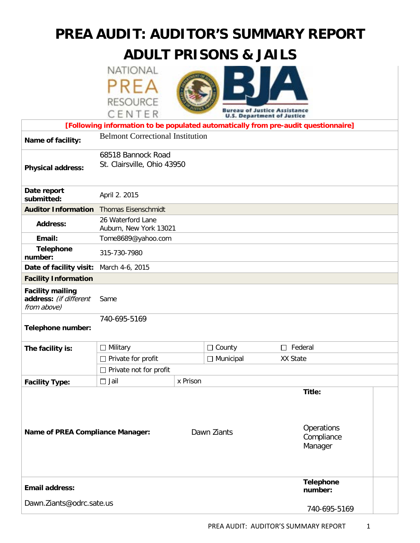# **PREA AUDIT: AUDITOR'S SUMMARY REPORT**

# **ADULT PRISONS & JAILS**





|                                                                                    | CENTER                                            |          |                  | <b>Bureau of Justice Assistance</b><br><b>U.S. Department of Justice</b> |  |  |  |
|------------------------------------------------------------------------------------|---------------------------------------------------|----------|------------------|--------------------------------------------------------------------------|--|--|--|
| [Following information to be populated automatically from pre-audit questionnaire] |                                                   |          |                  |                                                                          |  |  |  |
| Name of facility:                                                                  | <b>Belmont Correctional Institution</b>           |          |                  |                                                                          |  |  |  |
| <b>Physical address:</b>                                                           | 68518 Bannock Road<br>St. Clairsville, Ohio 43950 |          |                  |                                                                          |  |  |  |
| Date report<br>submitted:                                                          | April 2. 2015                                     |          |                  |                                                                          |  |  |  |
| <b>Auditor Information</b> Thomas Eisenschmidt                                     |                                                   |          |                  |                                                                          |  |  |  |
| <b>Address:</b>                                                                    | 26 Waterford Lane<br>Auburn, New York 13021       |          |                  |                                                                          |  |  |  |
| Email:                                                                             | Tome8689@yahoo.com                                |          |                  |                                                                          |  |  |  |
| <b>Telephone</b><br>number:                                                        | 315-730-7980                                      |          |                  |                                                                          |  |  |  |
| Date of facility visit:                                                            | March 4-6, 2015                                   |          |                  |                                                                          |  |  |  |
| <b>Facility Information</b>                                                        |                                                   |          |                  |                                                                          |  |  |  |
| <b>Facility mailing</b><br>address: (if different<br>from above)                   | Same                                              |          |                  |                                                                          |  |  |  |
| Telephone number:                                                                  | 740-695-5169                                      |          |                  |                                                                          |  |  |  |
| The facility is:                                                                   | $\Box$ Military                                   |          | $\Box$ County    | $\Box$ Federal                                                           |  |  |  |
|                                                                                    | $\Box$ Private for profit                         |          | $\Box$ Municipal | XX State                                                                 |  |  |  |
|                                                                                    | $\Box$ Private not for profit                     |          |                  |                                                                          |  |  |  |
| <b>Facility Type:</b>                                                              | $\Box$ Jail                                       | x Prison |                  |                                                                          |  |  |  |
| Name of PREA Compliance Manager:                                                   |                                                   |          | Dawn Ziants      | Title:<br>Operations<br>Compliance<br>Manager                            |  |  |  |
| <b>Email address:</b>                                                              |                                                   |          |                  | <b>Telephone</b><br>number:                                              |  |  |  |
| Dawn.Ziants@odrc.sate.us                                                           |                                                   |          |                  | 740-695-5169                                                             |  |  |  |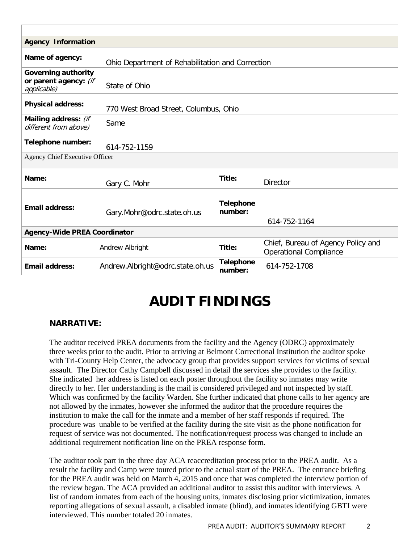| <b>Agency Information</b>                                           |                                       |                             |                                                                     |  |  |  |
|---------------------------------------------------------------------|---------------------------------------|-----------------------------|---------------------------------------------------------------------|--|--|--|
| Name of agency:<br>Ohio Department of Rehabilitation and Correction |                                       |                             |                                                                     |  |  |  |
| <b>Governing authority</b><br>or parent agency: (if<br>applicable)  | State of Ohio                         |                             |                                                                     |  |  |  |
| <b>Physical address:</b>                                            | 770 West Broad Street, Columbus, Ohio |                             |                                                                     |  |  |  |
| Mailing address: (if<br>different from above)                       | Same                                  |                             |                                                                     |  |  |  |
| Telephone number:                                                   | 614-752-1159                          |                             |                                                                     |  |  |  |
| Agency Chief Executive Officer                                      |                                       |                             |                                                                     |  |  |  |
| Name:                                                               | Gary C. Mohr                          | Title:                      | <b>Director</b>                                                     |  |  |  |
| <b>Email address:</b>                                               | Gary.Mohr@odrc.state.oh.us            | <b>Telephone</b><br>number: | 614-752-1164                                                        |  |  |  |
| <b>Agency-Wide PREA Coordinator</b>                                 |                                       |                             |                                                                     |  |  |  |
| Name:                                                               | Andrew Albright                       | Title:                      | Chief, Bureau of Agency Policy and<br><b>Operational Compliance</b> |  |  |  |
| <b>Email address:</b>                                               | Andrew.Albright@odrc.state.oh.us      | <b>Telephone</b><br>number: | 614-752-1708                                                        |  |  |  |

# **AUDIT FINDINGS**

#### **NARRATIVE:**

The auditor received PREA documents from the facility and the Agency (ODRC) approximately three weeks prior to the audit. Prior to arriving at Belmont Correctional Institution the auditor spoke with Tri-County Help Center, the advocacy group that provides support services for victims of sexual assault. The Director Cathy Campbell discussed in detail the services she provides to the facility. She indicated her address is listed on each poster throughout the facility so inmates may write directly to her. Her understanding is the mail is considered privileged and not inspected by staff. Which was confirmed by the facility Warden. She further indicated that phone calls to her agency are not allowed by the inmates, however she informed the auditor that the procedure requires the institution to make the call for the inmate and a member of her staff responds if required. The procedure was unable to be verified at the facility during the site visit as the phone notification for request of service was not documented. The notification/request process was changed to include an additional requirement notification line on the PREA response form.

The auditor took part in the three day ACA reaccreditation process prior to the PREA audit. As a result the facility and Camp were toured prior to the actual start of the PREA. The entrance briefing for the PREA audit was held on March 4, 2015 and once that was completed the interview portion of the review began. The ACA provided an additional auditor to assist this auditor with interviews. A list of random inmates from each of the housing units, inmates disclosing prior victimization, inmates reporting allegations of sexual assault, a disabled inmate (blind), and inmates identifying GBTI were interviewed. This number totaled 20 inmates.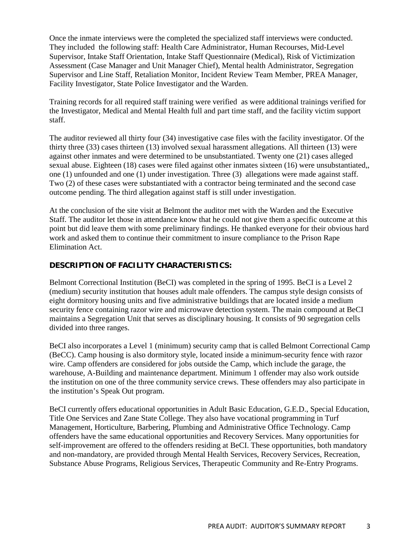Once the inmate interviews were the completed the specialized staff interviews were conducted. They included the following staff: Health Care Administrator, Human Recourses, Mid-Level Supervisor, Intake Staff Orientation, Intake Staff Questionnaire (Medical), Risk of Victimization Assessment (Case Manager and Unit Manager Chief), Mental health Administrator, Segregation Supervisor and Line Staff, Retaliation Monitor, Incident Review Team Member, PREA Manager, Facility Investigator, State Police Investigator and the Warden.

Training records for all required staff training were verified as were additional trainings verified for the Investigator, Medical and Mental Health full and part time staff, and the facility victim support staff.

The auditor reviewed all thirty four (34) investigative case files with the facility investigator. Of the thirty three (33) cases thirteen (13) involved sexual harassment allegations. All thirteen (13) were against other inmates and were determined to be unsubstantiated. Twenty one (21) cases alleged sexual abuse. Eighteen (18) cases were filed against other inmates sixteen (16) were unsubstantiated,, one (1) unfounded and one (1) under investigation. Three (3) allegations were made against staff. Two (2) of these cases were substantiated with a contractor being terminated and the second case outcome pending. The third allegation against staff is still under investigation.

At the conclusion of the site visit at Belmont the auditor met with the Warden and the Executive Staff. The auditor let those in attendance know that he could not give them a specific outcome at this point but did leave them with some preliminary findings. He thanked everyone for their obvious hard work and asked them to continue their commitment to insure compliance to the Prison Rape Elimination Act.

#### **DESCRIPTION OF FACILITY CHARACTERISTICS:**

Belmont Correctional Institution (BeCI) was completed in the spring of 1995. BeCI is a Level 2 (medium) security institution that houses adult male offenders. The campus style design consists of eight dormitory housing units and five administrative buildings that are located inside a medium security fence containing razor wire and microwave detection system. The main compound at BeCI maintains a Segregation Unit that serves as disciplinary housing. It consists of 90 segregation cells divided into three ranges.

BeCI also incorporates a Level 1 (minimum) security camp that is called Belmont Correctional Camp (BeCC). Camp housing is also dormitory style, located inside a minimum-security fence with razor wire. Camp offenders are considered for jobs outside the Camp, which include the garage, the warehouse, A-Building and maintenance department. Minimum 1 offender may also work outside the institution on one of the three community service crews. These offenders may also participate in the institution's Speak Out program.

BeCI currently offers educational opportunities in Adult Basic Education, G.E.D., Special Education, Title One Services and Zane State College. They also have vocational programming in Turf Management, Horticulture, Barbering, Plumbing and Administrative Office Technology. Camp offenders have the same educational opportunities and Recovery Services. Many opportunities for self-improvement are offered to the offenders residing at BeCI. These opportunities, both mandatory and non-mandatory, are provided through Mental Health Services, Recovery Services, Recreation, Substance Abuse Programs, Religious Services, Therapeutic Community and Re-Entry Programs.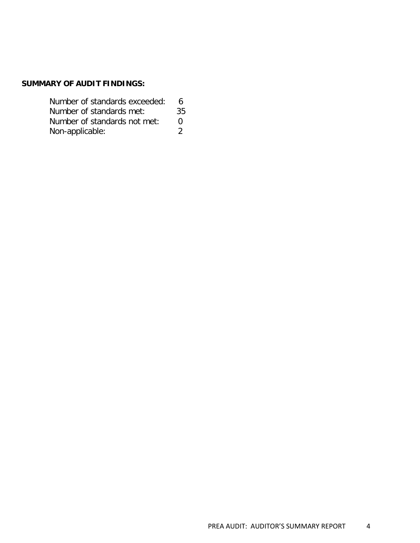#### **SUMMARY OF AUDIT FINDINGS:**

| Number of standards exceeded: | 6  |  |
|-------------------------------|----|--|
| Number of standards met:      | 35 |  |
| Number of standards not met:  | n  |  |
| Non-applicable:               |    |  |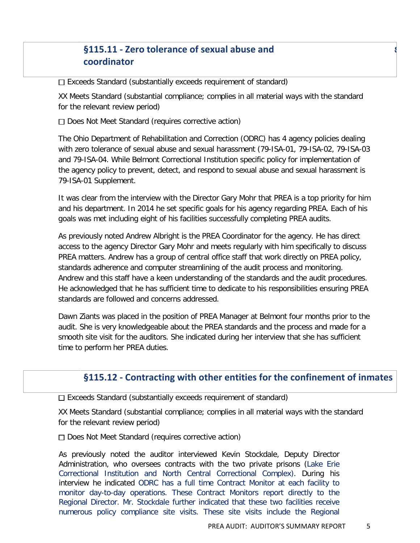## **§115.11 - Zero tolerance of sexual abuse and** s **coordinator**

 $\Box$  Exceeds Standard (substantially exceeds requirement of standard)

XX Meets Standard (substantial compliance; complies in all material ways with the standard for the relevant review period)

 $\Box$  Does Not Meet Standard (requires corrective action)

The Ohio Department of Rehabilitation and Correction (ODRC) has 4 agency policies dealing with zero tolerance of sexual abuse and sexual harassment (79-ISA-01, 79-ISA-02, 79-ISA-03 and 79-ISA-04. While Belmont Correctional Institution specific policy for implementation of the agency policy to prevent, detect, and respond to sexual abuse and sexual harassment is 79-ISA-01 Supplement.

It was clear from the interview with the Director Gary Mohr that PREA is a top priority for him and his department. In 2014 he set specific goals for his agency regarding PREA. Each of his goals was met including eight of his facilities successfully completing PREA audits.

As previously noted Andrew Albright is the PREA Coordinator for the agency. He has direct access to the agency Director Gary Mohr and meets regularly with him specifically to discuss PREA matters. Andrew has a group of central office staff that work directly on PREA policy, standards adherence and computer streamlining of the audit process and monitoring. Andrew and this staff have a keen understanding of the standards and the audit procedures. He acknowledged that he has sufficient time to dedicate to his responsibilities ensuring PREA standards are followed and concerns addressed.

Dawn Ziants was placed in the position of PREA Manager at Belmont four months prior to the audit. She is very knowledgeable about the PREA standards and the process and made for a smooth site visit for the auditors. She indicated during her interview that she has sufficient time to perform her PREA duties.

## **§115.12 - Contracting with other entities for the confinement of inmates**

 $\Box$  Exceeds Standard (substantially exceeds requirement of standard)

XX Meets Standard (substantial compliance; complies in all material ways with the standard for the relevant review period)

Does Not Meet Standard (requires corrective action)

As previously noted the auditor interviewed Kevin Stockdale, Deputy Director Administration, who oversees contracts with the two private prisons (Lake Erie Correctional Institution and North Central Correctional Complex). During his interview he indicated ODRC has a full time Contract Monitor at each facility to monitor day-to-day operations. These Contract Monitors report directly to the Regional Director. Mr. Stockdale further indicated that these two facilities receive numerous policy compliance site visits. These site visits include the Regional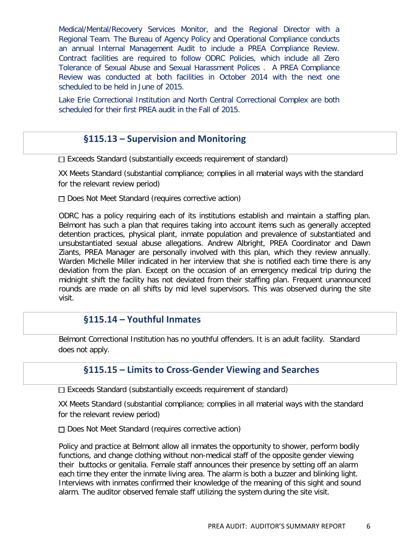Medical/Mental/Recovery Services Monitor, and the Regional Director with a Regional Team. The Bureau of Agency Policy and Operational Compliance conducts an annual Internal Management Audit to include a PREA Compliance Review. Contract facilities are required to follow ODRC Policies, which include all Zero Tolerance of Sexual Abuse and Sexual Harassment Polices . A PREA Compliance Review was conducted at both facilities in October 2014 with the next one scheduled to be held in June of 2015.

Lake Erie Correctional Institution and North Central Correctional Complex are both scheduled for their first PREA audit in the Fall of 2015.

#### **§115.13 – Supervision and Monitoring**

 $\Box$  Exceeds Standard (substantially exceeds requirement of standard)

XX Meets Standard (substantial compliance; complies in all material ways with the standard for the relevant review period)

 $\Box$  Does Not Meet Standard (requires corrective action)

ODRC has a policy requiring each of its institutions establish and maintain a staffing plan. Belmont has such a plan that requires taking into account items such as generally accepted detention practices, physical plant, inmate population and prevalence of substantiated and unsubstantiated sexual abuse allegations. Andrew Albright, PREA Coordinator and Dawn Ziants, PREA Manager are personally involved with this plan, which they review annually. Warden Michelle Miller indicated in her interview that she is notified each time there is any deviation from the plan. Except on the occasion of an emergency medical trip during the midnight shift the facility has not deviated from their staffing plan. Frequent unannounced rounds are made on all shifts by mid level supervisors. This was observed during the site visit.

#### **§115.14 – Youthful Inmates**

Belmont Correctional Institution has no youthful offenders. It is an adult facility. Standard does not apply.

#### **§115.15 – Limits to Cross-Gender Viewing and Searches**

 $\square$  Exceeds Standard (substantially exceeds requirement of standard)

XX Meets Standard (substantial compliance; complies in all material ways with the standard for the relevant review period)

Does Not Meet Standard (requires corrective action)

Policy and practice at Belmont allow all inmates the opportunity to shower, perform bodily functions, and change clothing without non-medical staff of the opposite gender viewing their buttocks or genitalia. Female staff announces their presence by setting off an alarm each time they enter the inmate living area. The alarm is both a buzzer and blinking light. Interviews with inmates confirmed their knowledge of the meaning of this sight and sound alarm. The auditor observed female staff utilizing the system during the site visit.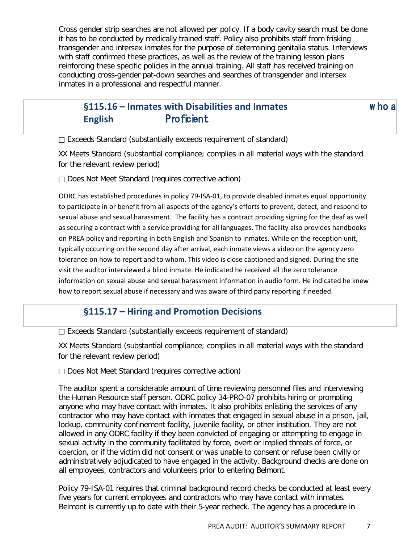Cross gender strip searches are not allowed per policy. If a body cavity search must be done it has to be conducted by medically trained staff. Policy also prohibits staff from frisking transgender and intersex inmates for the purpose of determining genitalia status. Interviews with staff confirmed these practices, as well as the review of the training lesson plans reinforcing these specific policies in the annual training. All staff has received training on conducting cross-gender pat-down searches and searches of transgender and intersex inmates in a professional and respectful manner.

# **§115.16 – Inmates with Disabilities and Inmates** w ho a **English** Proficient

 $\Box$  Exceeds Standard (substantially exceeds requirement of standard)

XX Meets Standard (substantial compliance; complies in all material ways with the standard for the relevant review period)

 $\Box$  Does Not Meet Standard (requires corrective action)

ODRC has established procedures in policy 79-ISA-01, to provide disabled inmates equal opportunity to participate in or benefit from all aspects of the agency's efforts to prevent, detect, and respond to sexual abuse and sexual harassment. The facility has a contract providing signing for the deaf as well as securing a contract with a service providing for all languages. The facility also provides handbooks on PREA policy and reporting in both English and Spanish to inmates. While on the reception unit, typically occurring on the second day after arrival, each inmate views a video on the agency zero tolerance on how to report and to whom. This video is close captioned and signed. During the site visit the auditor interviewed a blind inmate. He indicated he received all the zero tolerance information on sexual abuse and sexual harassment information in audio form. He indicated he knew how to report sexual abuse if necessary and was aware of third party reporting if needed.

## **§115.17 – Hiring and Promotion Decisions**

 $\square$  Exceeds Standard (substantially exceeds requirement of standard)

XX Meets Standard (substantial compliance; complies in all material ways with the standard for the relevant review period)

 $\Box$  Does Not Meet Standard (requires corrective action)

The auditor spent a considerable amount of time reviewing personnel files and interviewing the Human Resource staff person. ODRC policy 34-PRO-07 prohibits hiring or promoting anyone who may have contact with inmates. It also prohibits enlisting the services of any contractor who may have contact with inmates that engaged in sexual abuse in a prison, jail, lockup, community confinement facility, juvenile facility, or other institution. They are not allowed in any ODRC facility if they been convicted of engaging or attempting to engage in sexual activity in the community facilitated by force, overt or implied threats of force, or coercion, or if the victim did not consent or was unable to consent or refuse been civilly or administratively adjudicated to have engaged in the activity. Background checks are done on all employees, contractors and volunteers prior to entering Belmont.

Policy 79-ISA-01 requires that criminal background record checks be conducted at least every five years for current employees and contractors who may have contact with inmates. Belmont is currently up to date with their 5-year recheck. The agency has a procedure in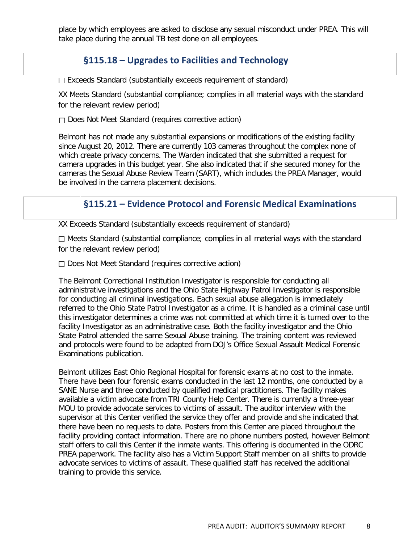place by which employees are asked to disclose any sexual misconduct under PREA. This will take place during the annual TB test done on all employees.

## **§115.18 – Upgrades to Facilities and Technology**

 $\square$  Exceeds Standard (substantially exceeds requirement of standard)

XX Meets Standard (substantial compliance; complies in all material ways with the standard for the relevant review period)

 $\Box$  Does Not Meet Standard (requires corrective action)

Belmont has not made any substantial expansions or modifications of the existing facility since August 20, 2012. There are currently 103 cameras throughout the complex none of which create privacy concerns. The Warden indicated that she submitted a request for camera upgrades in this budget year. She also indicated that if she secured money for the cameras the Sexual Abuse Review Team (SART), which includes the PREA Manager, would be involved in the camera placement decisions.

#### **§115.21 – Evidence Protocol and Forensic Medical Examinations**

XX Exceeds Standard (substantially exceeds requirement of standard)

 $\Box$  Meets Standard (substantial compliance; complies in all material ways with the standard for the relevant review period)

Does Not Meet Standard (requires corrective action)

The Belmont Correctional Institution Investigator is responsible for conducting all administrative investigations and the Ohio State Highway Patrol Investigator is responsible for conducting all criminal investigations. Each sexual abuse allegation is immediately referred to the Ohio State Patrol Investigator as a crime. It is handled as a criminal case until this investigator determines a crime was not committed at which time it is turned over to the facility Investigator as an administrative case. Both the facility investigator and the Ohio State Patrol attended the same Sexual Abuse training. The training content was reviewed and protocols were found to be adapted from DOJ's Office Sexual Assault Medical Forensic Examinations publication.

Belmont utilizes East Ohio Regional Hospital for forensic exams at no cost to the inmate. There have been four forensic exams conducted in the last 12 months, one conducted by a SANE Nurse and three conducted by qualified medical practitioners. The facility makes available a victim advocate from TRI County Help Center. There is currently a three-year MOU to provide advocate services to victims of assault. The auditor interview with the supervisor at this Center verified the service they offer and provide and she indicated that there have been no requests to date. Posters from this Center are placed throughout the facility providing contact information. There are no phone numbers posted, however Belmont staff offers to call this Center if the inmate wants. This offering is documented in the ODRC PREA paperwork. The facility also has a Victim Support Staff member on all shifts to provide advocate services to victims of assault. These qualified staff has received the additional training to provide this service.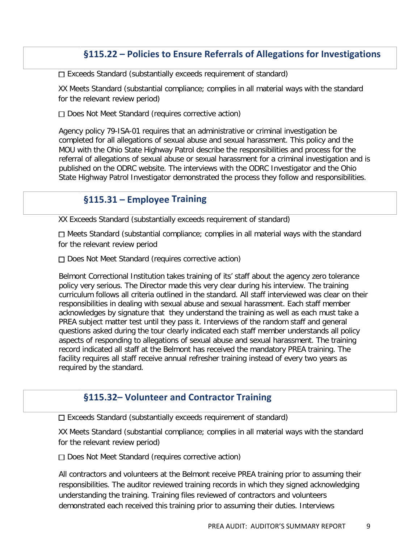## **§115.22 – Policies to Ensure Referrals of Allegations for Investigations**

 $\Box$  Exceeds Standard (substantially exceeds requirement of standard)

XX Meets Standard (substantial compliance; complies in all material ways with the standard for the relevant review period)

 $\Box$  Does Not Meet Standard (requires corrective action)

Agency policy 79-ISA-01 requires that an administrative or criminal investigation be completed for all allegations of sexual abuse and sexual harassment. This policy and the MOU with the Ohio State Highway Patrol describe the responsibilities and process for the referral of allegations of sexual abuse or sexual harassment for a criminal investigation and is published on the ODRC website. The interviews with the ODRC Investigator and the Ohio State Highway Patrol Investigator demonstrated the process they follow and responsibilities.

## **§115.31 – Employee Training**

XX Exceeds Standard (substantially exceeds requirement of standard)

 $\Box$  Meets Standard (substantial compliance; complies in all material ways with the standard for the relevant review period

 $\Box$  Does Not Meet Standard (requires corrective action)

Belmont Correctional Institution takes training of its' staff about the agency zero tolerance policy very serious. The Director made this very clear during his interview. The training curriculum follows all criteria outlined in the standard. All staff interviewed was clear on their responsibilities in dealing with sexual abuse and sexual harassment. Each staff member acknowledges by signature that they understand the training as well as each must take a PREA subject matter test until they pass it. Interviews of the random staff and general questions asked during the tour clearly indicated each staff member understands all policy aspects of responding to allegations of sexual abuse and sexual harassment. The training record indicated all staff at the Belmont has received the mandatory PREA training. The facility requires all staff receive annual refresher training instead of every two years as required by the standard.

## **§115.32– Volunteer and Contractor Training**

 $\square$  Exceeds Standard (substantially exceeds requirement of standard)

XX Meets Standard (substantial compliance; complies in all material ways with the standard for the relevant review period)

 $\Box$  Does Not Meet Standard (requires corrective action)

All contractors and volunteers at the Belmont receive PREA training prior to assuming their responsibilities. The auditor reviewed training records in which they signed acknowledging understanding the training. Training files reviewed of contractors and volunteers demonstrated each received this training prior to assuming their duties. Interviews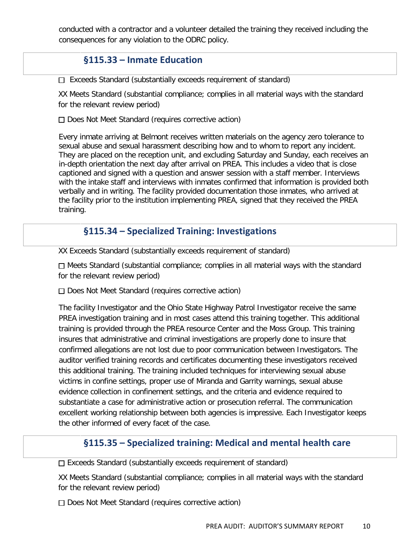conducted with a contractor and a volunteer detailed the training they received including the consequences for any violation to the ODRC policy.

## **§115.33 – Inmate Education**

 $\Box$  Exceeds Standard (substantially exceeds requirement of standard)

XX Meets Standard (substantial compliance; complies in all material ways with the standard for the relevant review period)

 $\Box$  Does Not Meet Standard (requires corrective action)

Every inmate arriving at Belmont receives written materials on the agency zero tolerance to sexual abuse and sexual harassment describing how and to whom to report any incident. They are placed on the reception unit, and excluding Saturday and Sunday, each receives an in-depth orientation the next day after arrival on PREA. This includes a video that is close captioned and signed with a question and answer session with a staff member. Interviews with the intake staff and interviews with inmates confirmed that information is provided both verbally and in writing. The facility provided documentation those inmates, who arrived at the facility prior to the institution implementing PREA, signed that they received the PREA training.

## **§115.34 – Specialized Training: Investigations**

XX Exceeds Standard (substantially exceeds requirement of standard)

 $\Box$  Meets Standard (substantial compliance; complies in all material ways with the standard for the relevant review period)

Does Not Meet Standard (requires corrective action)

The facility Investigator and the Ohio State Highway Patrol Investigator receive the same PREA investigation training and in most cases attend this training together. This additional training is provided through the PREA resource Center and the Moss Group. This training insures that administrative and criminal investigations are properly done to insure that confirmed allegations are not lost due to poor communication between Investigators. The auditor verified training records and certificates documenting these investigators received this additional training. The training included techniques for interviewing sexual abuse victims in confine settings, proper use of Miranda and Garrity warnings, sexual abuse evidence collection in confinement settings, and the criteria and evidence required to substantiate a case for administrative action or prosecution referral. The communication excellent working relationship between both agencies is impressive. Each Investigator keeps the other informed of every facet of the case.

#### **§115.35 – Specialized training: Medical and mental health care**

 $\Box$  Exceeds Standard (substantially exceeds requirement of standard)

XX Meets Standard (substantial compliance; complies in all material ways with the standard for the relevant review period)

 $\Box$  Does Not Meet Standard (requires corrective action)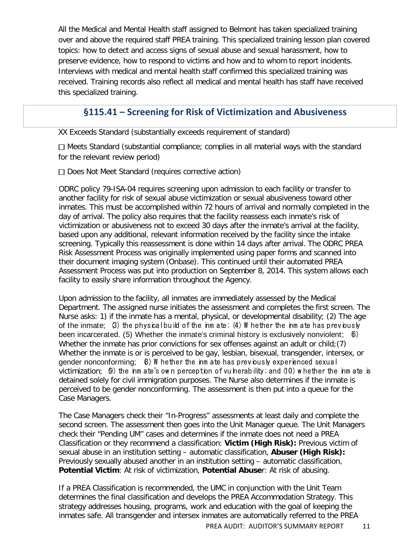All the Medical and Mental Health staff assigned to Belmont has taken specialized training over and above the required staff PREA training. This specialized training lesson plan covered topics: how to detect and access signs of sexual abuse and sexual harassment, how to preserve evidence, how to respond to victims and how and to whom to report incidents. Interviews with medical and mental health staff confirmed this specialized training was received. Training records also reflect all medical and mental health has staff have received this specialized training.

## **§115.41 – Screening for Risk of Victimization and Abusiveness**

XX Exceeds Standard (substantially exceeds requirement of standard)

 $\Box$  Meets Standard (substantial compliance; complies in all material ways with the standard for the relevant review period)

 $\Box$  Does Not Meet Standard (requires corrective action)

ODRC policy 79-ISA-04 requires screening upon admission to each facility or transfer to another facility for risk of sexual abuse victimization or sexual abusiveness toward other inmates. This must be accomplished within 72 hours of arrival and normally completed in the day of arrival. The policy also requires that the facility reassess each inmate's risk of victimization or abusiveness not to exceed 30 days after the inmate's arrival at the facility, based upon any additional, relevant information received by the facility since the intake screening. Typically this reassessment is done within 14 days after arrival. The ODRC PREA Risk Assessment Process was originally implemented using paper forms and scanned into their document imaging system (Onbase). This continued until their automated PREA Assessment Process was put into production on September 8, 2014. This system allows each facility to easily share information throughout the Agency.

Upon admission to the facility, all inmates are immediately assessed by the Medical Department. The assigned nurse initiates the assessment and completes the first screen. The Nurse asks: 1) if the inmate has a mental, physical, or developmental disability; (2) The age of the inmate;  $\beta$ ) the physical build of the inm ate;  $\alpha$ ) W hether the inm ate has previously been incarcerated. (5) Whether the inmate's criminal history is exclusively nonviolent; (6) Whether the inmate has prior convictions for sex offenses against an adult or child;  $(7)$ Whether the inmate is or is perceived to be gay, lesbian, bisexual, transgender, intersex, or gender nonconforming;  $\theta$ ) W hether the inm ate has previously experienced sexual victimization;  $\theta$ ) the inm ate's own perception of vulnerability; and (10) whether the inm ate is detained solely for civil immigration purposes. The Nurse also determines if the inmate is perceived to be gender nonconforming. The assessment is then put into a queue for the Case Managers.

The Case Managers check their "In-Progress" assessments at least daily and complete the second screen. The assessment then goes into the Unit Manager queue. The Unit Managers check their "Pending UM" cases and determines if the inmate does not need a PREA Classification or they recommend a classification: **Victim (High Risk):** Previous victim of sexual abuse in an institution setting – automatic classification, **Abuser (High Risk):** Previously sexually abused another in an institution setting – automatic classification, **Potential Victim**: At risk of victimization, **Potential Abuse**r: At risk of abusing.

If a PREA Classification is recommended, the UMC in conjunction with the Unit Team determines the final classification and develops the PREA Accommodation Strategy. This strategy addresses housing, programs, work and education with the goal of keeping the inmates safe. All transgender and intersex inmates are automatically referred to the PREA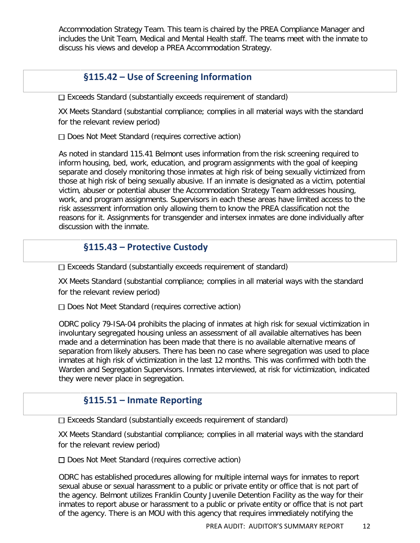Accommodation Strategy Team. This team is chaired by the PREA Compliance Manager and includes the Unit Team, Medical and Mental Health staff. The teams meet with the inmate to discuss his views and develop a PREA Accommodation Strategy.

## **§115.42 – Use of Screening Information**

 $\square$  Exceeds Standard (substantially exceeds requirement of standard)

XX Meets Standard (substantial compliance; complies in all material ways with the standard for the relevant review period)

 $\Box$  Does Not Meet Standard (requires corrective action)

As noted in standard 115.41 Belmont uses information from the risk screening required to inform housing, bed, work, education, and program assignments with the goal of keeping separate and closely monitoring those inmates at high risk of being sexually victimized from those at high risk of being sexually abusive. If an inmate is designated as a victim, potential victim, abuser or potential abuser the Accommodation Strategy Team addresses housing, work, and program assignments. Supervisors in each these areas have limited access to the risk assessment information only allowing them to know the PREA classification not the reasons for it. Assignments for transgender and intersex inmates are done individually after discussion with the inmate.

## **§115.43 – Protective Custody**

 $\Box$  Exceeds Standard (substantially exceeds requirement of standard)

XX Meets Standard (substantial compliance; complies in all material ways with the standard for the relevant review period)

 $\Box$  Does Not Meet Standard (requires corrective action)

ODRC policy 79-ISA-04 prohibits the placing of inmates at high risk for sexual victimization in involuntary segregated housing unless an assessment of all available alternatives has been made and a determination has been made that there is no available alternative means of separation from likely abusers. There has been no case where segregation was used to place inmates at high risk of victimization in the last 12 months. This was confirmed with both the Warden and Segregation Supervisors. Inmates interviewed, at risk for victimization, indicated they were never place in segregation.

## **§115.51 – Inmate Reporting**

 $\square$  Exceeds Standard (substantially exceeds requirement of standard)

XX Meets Standard (substantial compliance; complies in all material ways with the standard for the relevant review period)

Does Not Meet Standard (requires corrective action)

ODRC has established procedures allowing for multiple internal ways for inmates to report sexual abuse or sexual harassment to a public or private entity or office that is not part of the agency. Belmont utilizes Franklin County Juvenile Detention Facility as the way for their inmates to report abuse or harassment to a public or private entity or office that is not part of the agency. There is an MOU with this agency that requires immediately notifying the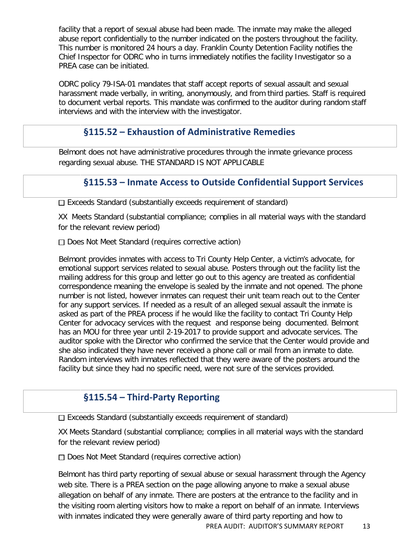facility that a report of sexual abuse had been made. The inmate may make the alleged abuse report confidentially to the number indicated on the posters throughout the facility. This number is monitored 24 hours a day. Franklin County Detention Facility notifies the Chief Inspector for ODRC who in turns immediately notifies the facility Investigator so a PREA case can be initiated.

ODRC policy 79-ISA-01 mandates that staff accept reports of sexual assault and sexual harassment made verbally, in writing, anonymously, and from third parties. Staff is required to document verbal reports. This mandate was confirmed to the auditor during random staff interviews and with the interview with the investigator.

#### **§115.52 – Exhaustion of Administrative Remedies**

Belmont does not have administrative procedures through the inmate grievance process regarding sexual abuse. THE STANDARD IS NOT APPLICABLE

## **§115.53 – Inmate Access to Outside Confidential Support Services**

 $\square$  Exceeds Standard (substantially exceeds requirement of standard)

XX Meets Standard (substantial compliance; complies in all material ways with the standard for the relevant review period)

Does Not Meet Standard (requires corrective action)

Belmont provides inmates with access to Tri County Help Center, a victim's advocate, for emotional support services related to sexual abuse. Posters through out the facility list the mailing address for this group and letter go out to this agency are treated as confidential correspondence meaning the envelope is sealed by the inmate and not opened. The phone number is not listed, however inmates can request their unit team reach out to the Center for any support services. If needed as a result of an alleged sexual assault the inmate is asked as part of the PREA process if he would like the facility to contact Tri County Help Center for advocacy services with the request and response being documented. Belmont has an MOU for three year until 2-19-2017 to provide support and advocate services. The auditor spoke with the Director who confirmed the service that the Center would provide and she also indicated they have never received a phone call or mail from an inmate to date. Random interviews with inmates reflected that they were aware of the posters around the facility but since they had no specific need, were not sure of the services provided.

## **§115.54 – Third-Party Reporting**

 $\Box$  Exceeds Standard (substantially exceeds requirement of standard)

XX Meets Standard (substantial compliance; complies in all material ways with the standard for the relevant review period)

 $\Box$  Does Not Meet Standard (requires corrective action)

Belmont has third party reporting of sexual abuse or sexual harassment through the Agency web site. There is a PREA section on the page allowing anyone to make a sexual abuse allegation on behalf of any inmate. There are posters at the entrance to the facility and in the visiting room alerting visitors how to make a report on behalf of an inmate. Interviews with inmates indicated they were generally aware of third party reporting and how to

PREA AUDIT: AUDITOR'S SUMMARY REPORT 13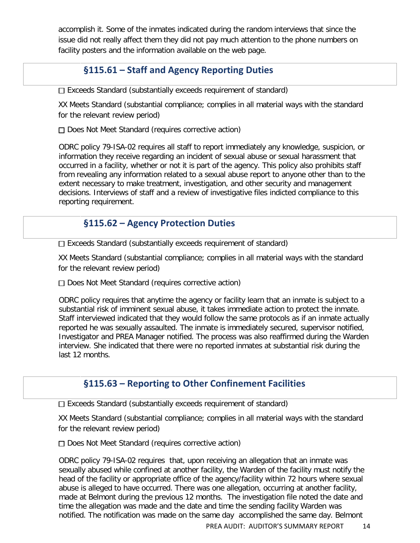accomplish it. Some of the inmates indicated during the random interviews that since the issue did not really affect them they did not pay much attention to the phone numbers on facility posters and the information available on the web page.

## **§115.61 – Staff and Agency Reporting Duties**

Exceeds Standard (substantially exceeds requirement of standard)

XX Meets Standard (substantial compliance; complies in all material ways with the standard for the relevant review period)

 $\Box$  Does Not Meet Standard (requires corrective action)

ODRC policy 79-ISA-02 requires all staff to report immediately any knowledge, suspicion, or information they receive regarding an incident of sexual abuse or sexual harassment that occurred in a facility, whether or not it is part of the agency. This policy also prohibits staff from revealing any information related to a sexual abuse report to anyone other than to the extent necessary to make treatment, investigation, and other security and management decisions. Interviews of staff and a review of investigative files indicted compliance to this reporting requirement.

## **§115.62 – Agency Protection Duties**

Exceeds Standard (substantially exceeds requirement of standard)

XX Meets Standard (substantial compliance; complies in all material ways with the standard for the relevant review period)

Does Not Meet Standard (requires corrective action)

ODRC policy requires that anytime the agency or facility learn that an inmate is subject to a substantial risk of imminent sexual abuse, it takes immediate action to protect the inmate. Staff interviewed indicated that they would follow the same protocols as if an inmate actually reported he was sexually assaulted. The inmate is immediately secured, supervisor notified, Investigator and PREA Manager notified. The process was also reaffirmed during the Warden interview. She indicated that there were no reported inmates at substantial risk during the last 12 months.

## **§115.63 – Reporting to Other Confinement Facilities**

Exceeds Standard (substantially exceeds requirement of standard)

XX Meets Standard (substantial compliance; complies in all material ways with the standard for the relevant review period)

 $\Box$  Does Not Meet Standard (requires corrective action)

ODRC policy 79-ISA-02 requires that, upon receiving an allegation that an inmate was sexually abused while confined at another facility, the Warden of the facility must notify the head of the facility or appropriate office of the agency/facility within 72 hours where sexual abuse is alleged to have occurred. There was one allegation, occurring at another facility, made at Belmont during the previous 12 months. The investigation file noted the date and time the allegation was made and the date and time the sending facility Warden was notified. The notification was made on the same day accomplished the same day. Belmont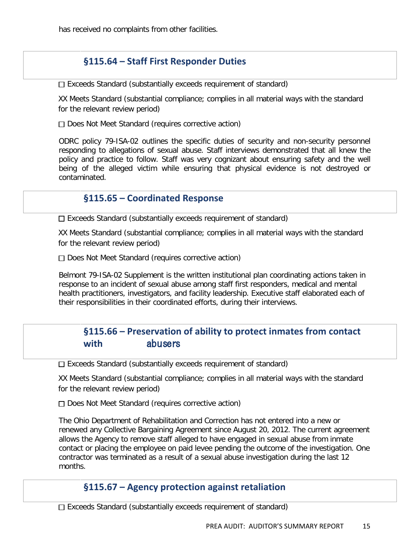has received no complaints from other facilities.

## **§115.64 – Staff First Responder Duties**

 $\Box$  Exceeds Standard (substantially exceeds requirement of standard)

XX Meets Standard (substantial compliance; complies in all material ways with the standard for the relevant review period)

Does Not Meet Standard (requires corrective action)

ODRC policy 79-ISA-02 outlines the specific duties of security and non-security personnel responding to allegations of sexual abuse. Staff interviews demonstrated that all knew the policy and practice to follow. Staff was very cognizant about ensuring safety and the well being of the alleged victim while ensuring that physical evidence is not destroyed or contaminated.

#### **§115.65 – Coordinated Response**

 $\Box$  Exceeds Standard (substantially exceeds requirement of standard)

XX Meets Standard (substantial compliance; complies in all material ways with the standard for the relevant review period)

 $\Box$  Does Not Meet Standard (requires corrective action)

Belmont 79-ISA-02 Supplement is the written institutional plan coordinating actions taken in response to an incident of sexual abuse among staff first responders, medical and mental health practitioners, investigators, and facility leadership. Executive staff elaborated each of their responsibilities in their coordinated efforts, during their interviews.

## **§115.66 – Preservation of ability to protect inmates from contact with** abusers

 $\Box$  Exceeds Standard (substantially exceeds requirement of standard)

XX Meets Standard (substantial compliance; complies in all material ways with the standard for the relevant review period)

Does Not Meet Standard (requires corrective action)

The Ohio Department of Rehabilitation and Correction has not entered into a new or renewed any Collective Bargaining Agreement since August 20, 2012. The current agreement allows the Agency to remove staff alleged to have engaged in sexual abuse from inmate contact or placing the employee on paid levee pending the outcome of the investigation. One contractor was terminated as a result of a sexual abuse investigation during the last 12 months.

#### **§115.67 – Agency protection against retaliation**

 $\Box$  Exceeds Standard (substantially exceeds requirement of standard)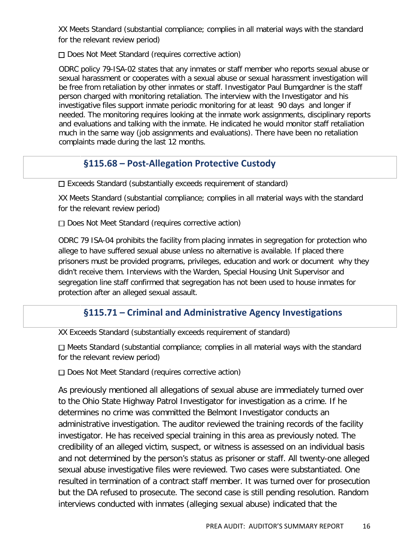XX Meets Standard (substantial compliance; complies in all material ways with the standard for the relevant review period)

 $\Box$  Does Not Meet Standard (requires corrective action)

ODRC policy 79-ISA-02 states that any inmates or staff member who reports sexual abuse or sexual harassment or cooperates with a sexual abuse or sexual harassment investigation will be free from retaliation by other inmates or staff. Investigator Paul Bumgardner is the staff person charged with monitoring retaliation. The interview with the Investigator and his investigative files support inmate periodic monitoring for at least 90 days and longer if needed. The monitoring requires looking at the inmate work assignments, disciplinary reports and evaluations and talking with the inmate. He indicated he would monitor staff retaliation much in the same way (job assignments and evaluations). There have been no retaliation complaints made during the last 12 months.

## **§115.68 – Post-Allegation Protective Custody**

 $\Box$  Exceeds Standard (substantially exceeds requirement of standard)

XX Meets Standard (substantial compliance; complies in all material ways with the standard for the relevant review period)

 $\Box$  Does Not Meet Standard (requires corrective action)

ODRC 79 ISA-04 prohibits the facility from placing inmates in segregation for protection who allege to have suffered sexual abuse unless no alternative is available. If placed there prisoners must be provided programs, privileges, education and work or document why they didn't receive them. Interviews with the Warden, Special Housing Unit Supervisor and segregation line staff confirmed that segregation has not been used to house inmates for protection after an alleged sexual assault.

## **§115.71 – Criminal and Administrative Agency Investigations**

XX Exceeds Standard (substantially exceeds requirement of standard)

Meets Standard (substantial compliance; complies in all material ways with the standard for the relevant review period)

Does Not Meet Standard (requires corrective action)

As previously mentioned all allegations of sexual abuse are immediately turned over to the Ohio State Highway Patrol Investigator for investigation as a crime. If he determines no crime was committed the Belmont Investigator conducts an administrative investigation. The auditor reviewed the training records of the facility investigator. He has received special training in this area as previously noted. The credibility of an alleged victim, suspect, or witness is assessed on an individual basis and not determined by the person's status as prisoner or staff. All twenty-one alleged sexual abuse investigative files were reviewed. Two cases were substantiated. One resulted in termination of a contract staff member. It was turned over for prosecution but the DA refused to prosecute. The second case is still pending resolution. Random interviews conducted with inmates (alleging sexual abuse) indicated that the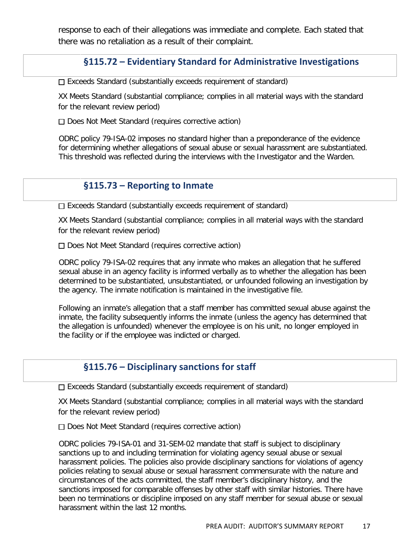response to each of their allegations was immediate and complete. Each stated that there was no retaliation as a result of their complaint.

## **§115.72 – Evidentiary Standard for Administrative Investigations**

 $\Box$  Exceeds Standard (substantially exceeds requirement of standard)

XX Meets Standard (substantial compliance; complies in all material ways with the standard for the relevant review period)

 $\Box$  Does Not Meet Standard (requires corrective action)

ODRC policy 79-ISA-02 imposes no standard higher than a preponderance of the evidence for determining whether allegations of sexual abuse or sexual harassment are substantiated. This threshold was reflected during the interviews with the Investigator and the Warden.

#### **§115.73 – Reporting to Inmate**

 $\Box$  Exceeds Standard (substantially exceeds requirement of standard)

XX Meets Standard (substantial compliance; complies in all material ways with the standard for the relevant review period)

Does Not Meet Standard (requires corrective action)

ODRC policy 79-ISA-02 requires that any inmate who makes an allegation that he suffered sexual abuse in an agency facility is informed verbally as to whether the allegation has been determined to be substantiated, unsubstantiated, or unfounded following an investigation by the agency. The inmate notification is maintained in the investigative file.

Following an inmate's allegation that a staff member has committed sexual abuse against the inmate, the facility subsequently informs the inmate (unless the agency has determined that the allegation is unfounded) whenever the employee is on his unit, no longer employed in the facility or if the employee was indicted or charged.

#### **§115.76 – Disciplinary sanctions for staff**

 $\Box$  Exceeds Standard (substantially exceeds requirement of standard)

XX Meets Standard (substantial compliance; complies in all material ways with the standard for the relevant review period)

 $\Box$  Does Not Meet Standard (requires corrective action)

ODRC policies 79-ISA-01 and 31-SEM-02 mandate that staff is subject to disciplinary sanctions up to and including termination for violating agency sexual abuse or sexual harassment policies. The policies also provide disciplinary sanctions for violations of agency policies relating to sexual abuse or sexual harassment commensurate with the nature and circumstances of the acts committed, the staff member's disciplinary history, and the sanctions imposed for comparable offenses by other staff with similar histories. There have been no terminations or discipline imposed on any staff member for sexual abuse or sexual harassment within the last 12 months.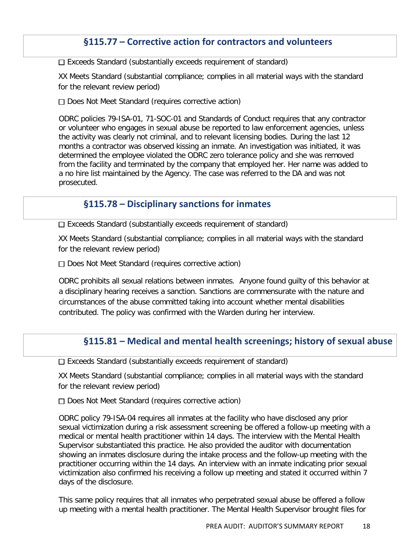## **§115.77 – Corrective action for contractors and volunteers**

 $\Box$  Exceeds Standard (substantially exceeds requirement of standard)

XX Meets Standard (substantial compliance; complies in all material ways with the standard for the relevant review period)

□ Does Not Meet Standard (requires corrective action)

ODRC policies 79-ISA-01, 71-SOC-01 and Standards of Conduct requires that any contractor or volunteer who engages in sexual abuse be reported to law enforcement agencies, unless the activity was clearly not criminal, and to relevant licensing bodies. During the last 12 months a contractor was observed kissing an inmate. An investigation was initiated, it was determined the employee violated the ODRC zero tolerance policy and she was removed from the facility and terminated by the company that employed her. Her name was added to a no hire list maintained by the Agency. The case was referred to the DA and was not prosecuted.

#### **§115.78 – Disciplinary sanctions for inmates**

 $\Box$  Exceeds Standard (substantially exceeds requirement of standard)

XX Meets Standard (substantial compliance; complies in all material ways with the standard for the relevant review period)

Does Not Meet Standard (requires corrective action)

ODRC prohibits all sexual relations between inmates. Anyone found guilty of this behavior at a disciplinary hearing receives a sanction. Sanctions are commensurate with the nature and circumstances of the abuse committed taking into account whether mental disabilities contributed. The policy was confirmed with the Warden during her interview.

## **§115.81 – Medical and mental health screenings; history of sexual abuse**

Exceeds Standard (substantially exceeds requirement of standard)

XX Meets Standard (substantial compliance; complies in all material ways with the standard for the relevant review period)

 $\Box$  Does Not Meet Standard (requires corrective action)

ODRC policy 79-ISA-04 requires all inmates at the facility who have disclosed any prior sexual victimization during a risk assessment screening be offered a follow-up meeting with a medical or mental health practitioner within 14 days. The interview with the Mental Health Supervisor substantiated this practice. He also provided the auditor with documentation showing an inmates disclosure during the intake process and the follow-up meeting with the practitioner occurring within the 14 days. An interview with an inmate indicating prior sexual victimization also confirmed his receiving a follow up meeting and stated it occurred within 7 days of the disclosure.

This same policy requires that all inmates who perpetrated sexual abuse be offered a follow up meeting with a mental health practitioner. The Mental Health Supervisor brought files for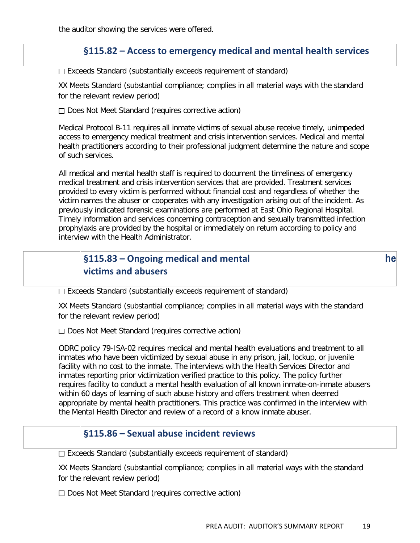the auditor showing the services were offered.

## **§115.82 – Access to emergency medical and mental health services**

 $\Box$  Exceeds Standard (substantially exceeds requirement of standard)

XX Meets Standard (substantial compliance; complies in all material ways with the standard for the relevant review period)

 $\Box$  Does Not Meet Standard (requires corrective action)

Medical Protocol B-11 requires all inmate victims of sexual abuse receive timely, unimpeded access to emergency medical treatment and crisis intervention services. Medical and mental health practitioners according to their professional judgment determine the nature and scope of such services.

All medical and mental health staff is required to document the timeliness of emergency medical treatment and crisis intervention services that are provided. Treatment services provided to every victim is performed without financial cost and regardless of whether the victim names the abuser or cooperates with any investigation arising out of the incident. As previously indicated forensic examinations are performed at East Ohio Regional Hospital. Timely information and services concerning contraception and sexually transmitted infection prophylaxis are provided by the hospital or immediately on return according to policy and interview with the Health Administrator.

## **§115.83 – Ongoing medical and mental** he 
**victims and abusers**

 $\Box$  Exceeds Standard (substantially exceeds requirement of standard)

XX Meets Standard (substantial compliance; complies in all material ways with the standard for the relevant review period)

 $\Box$  Does Not Meet Standard (requires corrective action)

ODRC policy 79-ISA-02 requires medical and mental health evaluations and treatment to all inmates who have been victimized by sexual abuse in any prison, jail, lockup, or juvenile facility with no cost to the inmate. The interviews with the Health Services Director and inmates reporting prior victimization verified practice to this policy. The policy further requires facility to conduct a mental health evaluation of all known inmate-on-inmate abusers within 60 days of learning of such abuse history and offers treatment when deemed appropriate by mental health practitioners. This practice was confirmed in the interview with the Mental Health Director and review of a record of a know inmate abuser.

#### **§115.86 – Sexual abuse incident reviews**

 $\square$  Exceeds Standard (substantially exceeds requirement of standard)

XX Meets Standard (substantial compliance; complies in all material ways with the standard for the relevant review period)

Does Not Meet Standard (requires corrective action)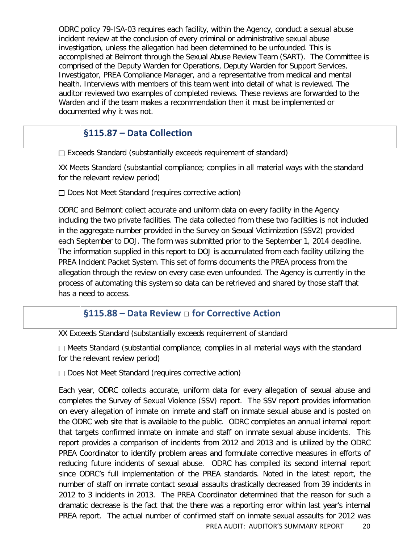ODRC policy 79-ISA-03 requires each facility, within the Agency, conduct a sexual abuse incident review at the conclusion of every criminal or administrative sexual abuse investigation, unless the allegation had been determined to be unfounded. This is accomplished at Belmont through the Sexual Abuse Review Team (SART). The Committee is comprised of the Deputy Warden for Operations, Deputy Warden for Support Services, Investigator, PREA Compliance Manager, and a representative from medical and mental health. Interviews with members of this team went into detail of what is reviewed. The auditor reviewed two examples of completed reviews. These reviews are forwarded to the Warden and if the team makes a recommendation then it must be implemented or documented why it was not.

## **§115.87 – Data Collection**

□ Exceeds Standard (substantially exceeds requirement of standard)

XX Meets Standard (substantial compliance; complies in all material ways with the standard for the relevant review period)

 $\Box$  Does Not Meet Standard (requires corrective action)

ODRC and Belmont collect accurate and uniform data on every facility in the Agency including the two private facilities. The data collected from these two facilities is not included in the aggregate number provided in the Survey on Sexual Victimization (SSV2) provided each September to DOJ. The form was submitted prior to the September 1, 2014 deadline. The information supplied in this report to DOJ is accumulated from each facility utilizing the PREA Incident Packet System. This set of forms documents the PREA process from the allegation through the review on every case even unfounded. The Agency is currently in the process of automating this system so data can be retrieved and shared by those staff that has a need to access.

## **§115.88 – Data Review** □ **for Corrective Action**

XX Exceeds Standard (substantially exceeds requirement of standard

 $\Box$  Meets Standard (substantial compliance; complies in all material ways with the standard for the relevant review period)

□ Does Not Meet Standard (requires corrective action)

Each year, ODRC collects accurate, uniform data for every allegation of sexual abuse and completes the Survey of Sexual Violence (SSV) report. The SSV report provides information on every allegation of inmate on inmate and staff on inmate sexual abuse and is posted on the ODRC web site that is available to the public. ODRC completes an annual internal report that targets confirmed inmate on inmate and staff on inmate sexual abuse incidents. This report provides a comparison of incidents from 2012 and 2013 and is utilized by the ODRC PREA Coordinator to identify problem areas and formulate corrective measures in efforts of reducing future incidents of sexual abuse. ODRC has compiled its second internal report since ODRC's full implementation of the PREA standards. Noted in the latest report, the number of staff on inmate contact sexual assaults drastically decreased from 39 incidents in 2012 to 3 incidents in 2013. The PREA Coordinator determined that the reason for such a dramatic decrease is the fact that the there was a reporting error within last year's internal PREA report. The actual number of confirmed staff on inmate sexual assaults for 2012 was